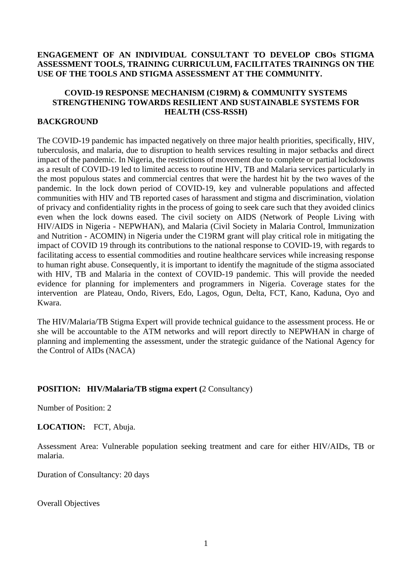#### **ENGAGEMENT OF AN INDIVIDUAL CONSULTANT TO DEVELOP CBOs STIGMA ASSESSMENT TOOLS, TRAINING CURRICULUM, FACILITATES TRAININGS ON THE USE OF THE TOOLS AND STIGMA ASSESSMENT AT THE COMMUNITY.**

#### **COVID-19 RESPONSE MECHANISM (C19RM) & COMMUNITY SYSTEMS STRENGTHENING TOWARDS RESILIENT AND SUSTAINABLE SYSTEMS FOR HEALTH (CSS-RSSH)**

#### **BACKGROUND**

The COVID-19 pandemic has impacted negatively on three major health priorities, specifically, HIV, tuberculosis, and malaria, due to disruption to health services resulting in major setbacks and direct impact of the pandemic. In Nigeria, the restrictions of movement due to complete or partial lockdowns as a result of COVID-19 led to limited access to routine HIV, TB and Malaria services particularly in the most populous states and commercial centres that were the hardest hit by the two waves of the pandemic. In the lock down period of COVID-19, key and vulnerable populations and affected communities with HIV and TB reported cases of harassment and stigma and discrimination, violation of privacy and confidentiality rights in the process of going to seek care such that they avoided clinics even when the lock downs eased. The civil society on AIDS (Network of People Living with HIV/AIDS in Nigeria - NEPWHAN), and Malaria (Civil Society in Malaria Control, Immunization and Nutrition - ACOMIN) in Nigeria under the C19RM grant will play critical role in mitigating the impact of COVID 19 through its contributions to the national response to COVID-19, with regards to facilitating access to essential commodities and routine healthcare services while increasing response to human right abuse. Consequently, it is important to identify the magnitude of the stigma associated with HIV, TB and Malaria in the context of COVID-19 pandemic. This will provide the needed evidence for planning for implementers and programmers in Nigeria. Coverage states for the intervention are Plateau, Ondo, Rivers, Edo, Lagos, Ogun, Delta, FCT, Kano, Kaduna, Oyo and Kwara.

The HIV/Malaria/TB Stigma Expert will provide technical guidance to the assessment process. He or she will be accountable to the ATM networks and will report directly to NEPWHAN in charge of planning and implementing the assessment, under the strategic guidance of the National Agency for the Control of AIDs (NACA)

#### **POSITION: HIV/Malaria/TB stigma expert (**2 Consultancy)

Number of Position: 2

**LOCATION:** FCT, Abuja.

Assessment Area: Vulnerable population seeking treatment and care for either HIV/AIDs, TB or malaria.

Duration of Consultancy: 20 days

Overall Objectives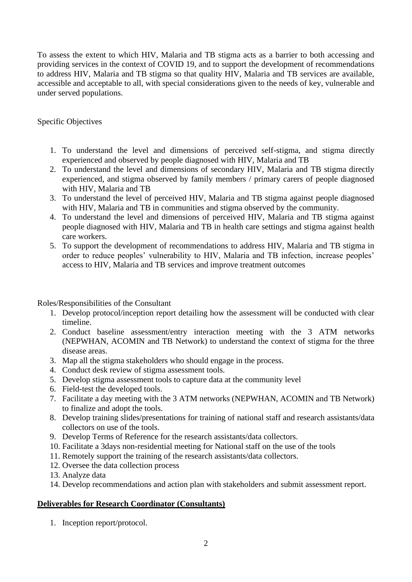To assess the extent to which HIV, Malaria and TB stigma acts as a barrier to both accessing and providing services in the context of COVID 19, and to support the development of recommendations to address HIV, Malaria and TB stigma so that quality HIV, Malaria and TB services are available, accessible and acceptable to all, with special considerations given to the needs of key, vulnerable and under served populations.

# Specific Objectives

- 1. To understand the level and dimensions of perceived self-stigma, and stigma directly experienced and observed by people diagnosed with HIV, Malaria and TB
- 2. To understand the level and dimensions of secondary HIV, Malaria and TB stigma directly experienced, and stigma observed by family members / primary carers of people diagnosed with HIV, Malaria and TB
- 3. To understand the level of perceived HIV, Malaria and TB stigma against people diagnosed with HIV, Malaria and TB in communities and stigma observed by the community.
- 4. To understand the level and dimensions of perceived HIV, Malaria and TB stigma against people diagnosed with HIV, Malaria and TB in health care settings and stigma against health care workers.
- 5. To support the development of recommendations to address HIV, Malaria and TB stigma in order to reduce peoples' vulnerability to HIV, Malaria and TB infection, increase peoples' access to HIV, Malaria and TB services and improve treatment outcomes

Roles/Responsibilities of the Consultant

- 1. Develop protocol/inception report detailing how the assessment will be conducted with clear timeline.
- 2. Conduct baseline assessment/entry interaction meeting with the 3 ATM networks (NEPWHAN, ACOMIN and TB Network) to understand the context of stigma for the three disease areas.
- 3. Map all the stigma stakeholders who should engage in the process.
- 4. Conduct desk review of stigma assessment tools.
- 5. Develop stigma assessment tools to capture data at the community level
- 6. Field-test the developed tools.
- 7. Facilitate a day meeting with the 3 ATM networks (NEPWHAN, ACOMIN and TB Network) to finalize and adopt the tools.
- 8. Develop training slides/presentations for training of national staff and research assistants/data collectors on use of the tools.
- 9. Develop Terms of Reference for the research assistants/data collectors.
- 10. Facilitate a 3days non-residential meeting for National staff on the use of the tools
- 11. Remotely support the training of the research assistants/data collectors.
- 12. Oversee the data collection process
- 13. Analyze data
- 14. Develop recommendations and action plan with stakeholders and submit assessment report.

### **Deliverables for Research Coordinator (Consultants)**

1. Inception report/protocol.